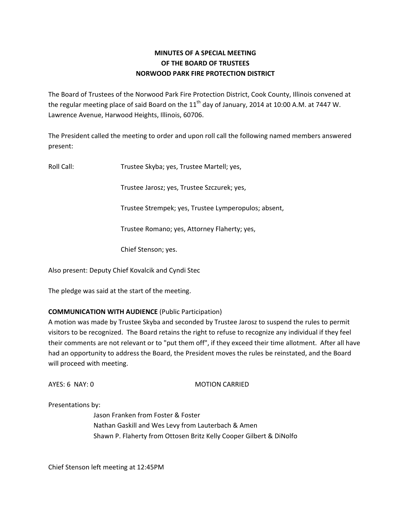## **MINUTES OF A SPECIAL MEETING OF THE BOARD OF TRUSTEES NORWOOD PARK FIRE PROTECTION DISTRICT**

The Board of Trustees of the Norwood Park Fire Protection District, Cook County, Illinois convened at the regular meeting place of said Board on the  $11<sup>th</sup>$  day of January, 2014 at 10:00 A.M. at 7447 W. Lawrence Avenue, Harwood Heights, Illinois, 60706.

The President called the meeting to order and upon roll call the following named members answered present:

Roll Call: Trustee Skyba; yes, Trustee Martell; yes,

Trustee Jarosz; yes, Trustee Szczurek; yes,

Trustee Strempek; yes, Trustee Lymperopulos; absent,

Trustee Romano; yes, Attorney Flaherty; yes,

Chief Stenson; yes.

Also present: Deputy Chief Kovalcik and Cyndi Stec

The pledge was said at the start of the meeting.

## **COMMUNICATION WITH AUDIENCE** (Public Participation)

A motion was made by Trustee Skyba and seconded by Trustee Jarosz to suspend the rules to permit visitors to be recognized. The Board retains the right to refuse to recognize any individual if they feel their comments are not relevant or to "put them off", if they exceed their time allotment. After all have had an opportunity to address the Board, the President moves the rules be reinstated, and the Board will proceed with meeting.

AYES: 6 NAY: 0 MOTION CARRIED

Presentations by:

Jason Franken from Foster & Foster Nathan Gaskill and Wes Levy from Lauterbach & Amen Shawn P. Flaherty from Ottosen Britz Kelly Cooper Gilbert & DiNolfo

Chief Stenson left meeting at 12:45PM